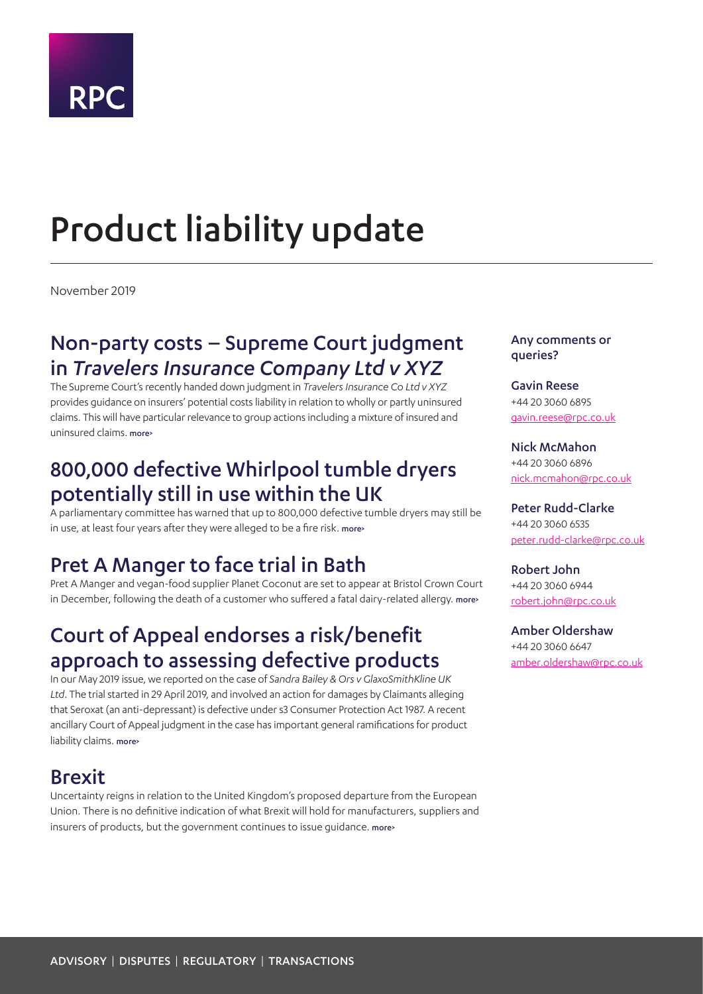# **RPC**

# <span id="page-0-0"></span>Product liability update

November 2019

### Non-party costs – Supreme Court judgment in *Travelers Insurance Company Ltd v XYZ*

The Supreme Court's recently handed down judgment in *Travelers Insurance Co Ltd v XYZ* provides guidance on insurers' potential costs liability in relation to wholly or partly uninsured claims. This will have particular relevance to group actions including a mixture of insured and uninsured claims. [more>](#page-1-0)

### 800,000 defective Whirlpool tumble dryers potentially still in use within the UK

A parliamentary committee has warned that up to 800,000 defective tumble dryers may still be in use, at least four years after they were alleged to be a fire risk. [more>](#page-2-0)

## Pret A Manger to face trial in Bath

Pret A Manger and vegan-food supplier Planet Coconut are set to appear at Bristol Crown Court in December, following the death of a customer who suffered a fatal dairy-related allergy. [more>](#page-3-0)

## Court of Appeal endorses a risk/benefit approach to assessing defective products

In our May 2019 issue, we reported on the case of *Sandra Bailey & Ors v GlaxoSmithKline UK Ltd*. The trial started in 29 April 2019, and involved an action for damages by Claimants alleging that Seroxat (an anti-depressant) is defective under s3 Consumer Protection Act 1987. A recent ancillary Court of Appeal judgment in the case has important general ramifications for product liability claims. [more>](#page-4-0)

### Brexit

Uncertainty reigns in relation to the United Kingdom's proposed departure from the European Union. There is no definitive indication of what Brexit will hold for manufacturers, suppliers and insurers of products, but the government continues to issue guidance. [more>](#page-5-0)

#### Any comments or queries?

Gavin Reese +44 20 3060 6895 [gavin.reese@rpc.co.uk](mailto:gavin.reese%40rpc.co.uk?subject=)

Nick McMahon +44 20 3060 6896 [nick.mcmahon@rpc.co.uk](mailto:nick.mcmahon%40rpc.co.uk%20?subject=)

Peter Rudd-Clarke +44 20 3060 6535 [peter.rudd-clarke@rpc.co.uk](mailto:peter.rudd-clarke%40rpc.co.uk?subject=)

Robert John +44 20 3060 6944 [robert.john@rpc.co.uk](mailto:amber.oldershaw%40rpc.co.uk?subject=)

[Amber Oldershaw](mailto:amber.oldershaw%40rpc.co.uk?subject=) [+44 20 3060 6647](mailto:amber.oldershaw%40rpc.co.uk?subject=) [amber.oldershaw@rpc.co.uk](mailto:amber.oldershaw%40rpc.co.uk?subject=)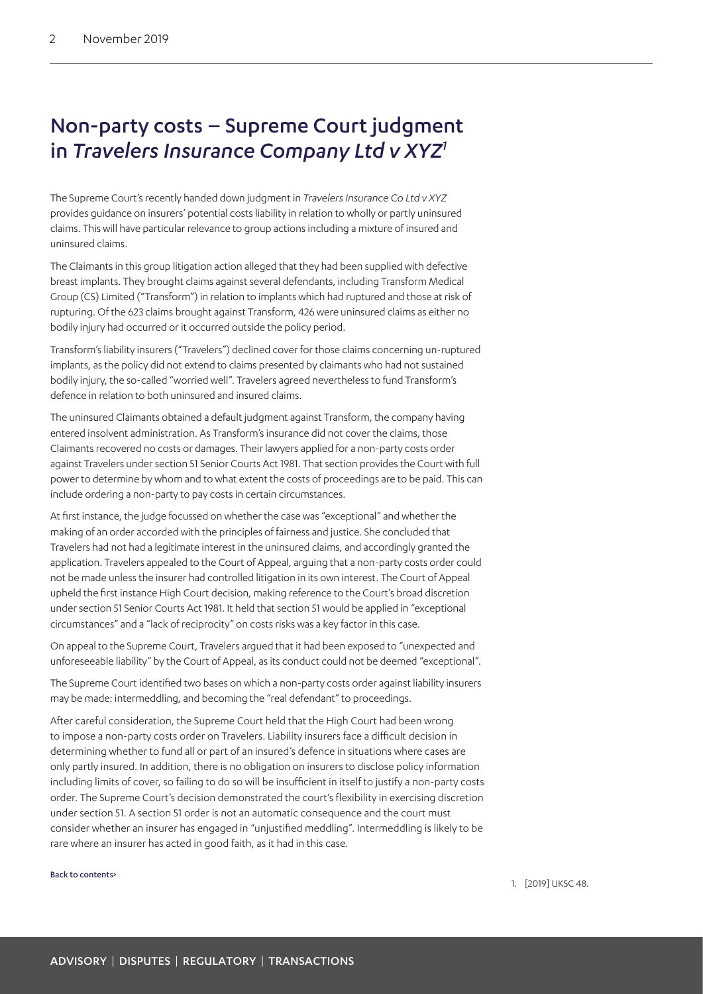### <span id="page-1-0"></span>Non-party costs – Supreme Court judgment in *Travelers Insurance Company Ltd v XYZ[1](#page-1-1)*

The Supreme Court's recently handed down judgment in *Travelers Insurance Co Ltd v XYZ* provides guidance on insurers' potential costs liability in relation to wholly or partly uninsured claims. This will have particular relevance to group actions including a mixture of insured and uninsured claims.

The Claimants in this group litigation action alleged that they had been supplied with defective breast implants. They brought claims against several defendants, including Transform Medical Group (CS) Limited ("Transform") in relation to implants which had ruptured and those at risk of rupturing. Of the 623 claims brought against Transform, 426 were uninsured claims as either no bodily injury had occurred or it occurred outside the policy period.

Transform's liability insurers ("Travelers") declined cover for those claims concerning un-ruptured implants, as the policy did not extend to claims presented by claimants who had not sustained bodily injury, the so-called "worried well". Travelers agreed nevertheless to fund Transform's defence in relation to both uninsured and insured claims.

The uninsured Claimants obtained a default judgment against Transform, the company having entered insolvent administration. As Transform's insurance did not cover the claims, those Claimants recovered no costs or damages. Their lawyers applied for a non-party costs order against Travelers under section 51 Senior Courts Act 1981. That section provides the Court with full power to determine by whom and to what extent the costs of proceedings are to be paid. This can include ordering a non-party to pay costs in certain circumstances.

At first instance, the judge focussed on whether the case was "exceptional" and whether the making of an order accorded with the principles of fairness and justice. She concluded that Travelers had not had a legitimate interest in the uninsured claims, and accordingly granted the application. Travelers appealed to the Court of Appeal, arguing that a non-party costs order could not be made unless the insurer had controlled litigation in its own interest. The Court of Appeal upheld the first instance High Court decision, making reference to the Court's broad discretion under section 51 Senior Courts Act 1981. It held that section 51 would be applied in "exceptional circumstances" and a "lack of reciprocity" on costs risks was a key factor in this case.

On appeal to the Supreme Court, Travelers argued that it had been exposed to "unexpected and unforeseeable liability" by the Court of Appeal, as its conduct could not be deemed "exceptional".

The Supreme Court identified two bases on which a non-party costs order against liability insurers may be made: intermeddling, and becoming the "real defendant" to proceedings.

After careful consideration, the Supreme Court held that the High Court had been wrong to impose a non-party costs order on Travelers. Liability insurers face a difficult decision in determining whether to fund all or part of an insured's defence in situations where cases are only partly insured. In addition, there is no obligation on insurers to disclose policy information including limits of cover, so failing to do so will be insufficient in itself to justify a non-party costs order. The Supreme Court's decision demonstrated the court's flexibility in exercising discretion under section 51. A section 51 order is not an automatic consequence and the court must consider whether an insurer has engaged in "unjustified meddling". Intermeddling is likely to be rare where an insurer has acted in good faith, as it had in this case.

#### [Back to contents>](#page-0-0)

<span id="page-1-1"></span>1. [2019] UKSC 48.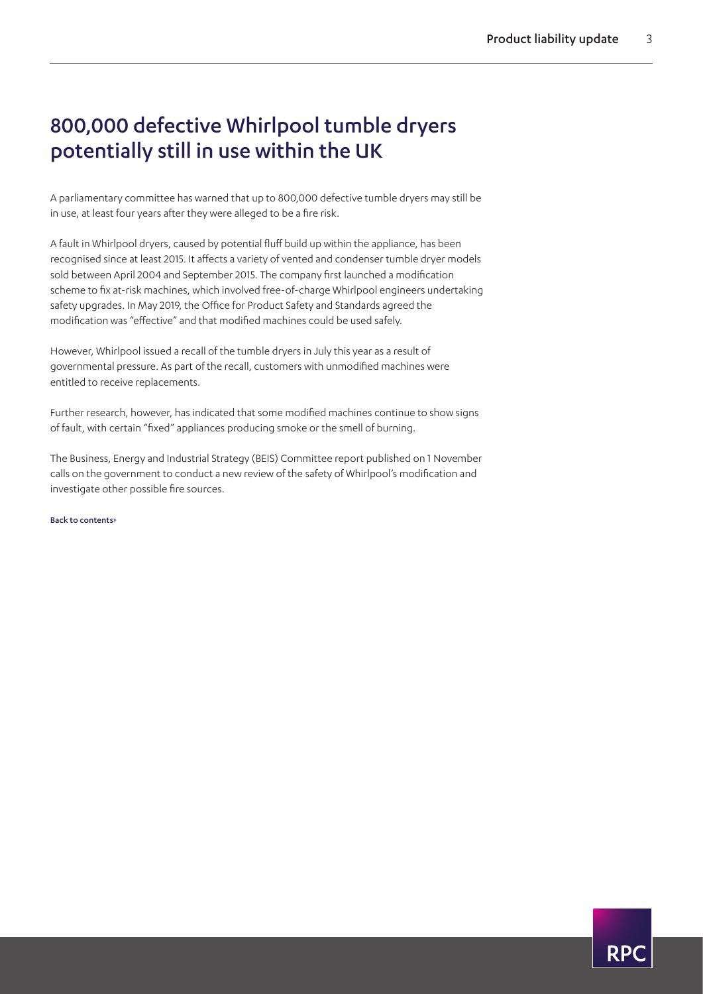## <span id="page-2-0"></span>800,000 defective Whirlpool tumble dryers potentially still in use within the UK

A parliamentary committee has warned that up to 800,000 defective tumble dryers may still be in use, at least four years after they were alleged to be a fire risk.

A fault in Whirlpool dryers, caused by potential fluff build up within the appliance, has been recognised since at least 2015. It affects a variety of vented and condenser tumble dryer models sold between April 2004 and September 2015. The company first launched a modification scheme to fix at-risk machines, which involved free-of-charge Whirlpool engineers undertaking safety upgrades. In May 2019, the Office for Product Safety and Standards agreed the modification was "effective" and that modified machines could be used safely.

However, Whirlpool issued a recall of the tumble dryers in July this year as a result of governmental pressure. As part of the recall, customers with unmodified machines were entitled to receive replacements.

Further research, however, has indicated that some modified machines continue to show signs of fault, with certain "fixed" appliances producing smoke or the smell of burning.

The Business, Energy and Industrial Strategy (BEIS) Committee report published on 1 November calls on the government to conduct a new review of the safety of Whirlpool's modification and investigate other possible fire sources.

[Back to contents>](#page-0-0)

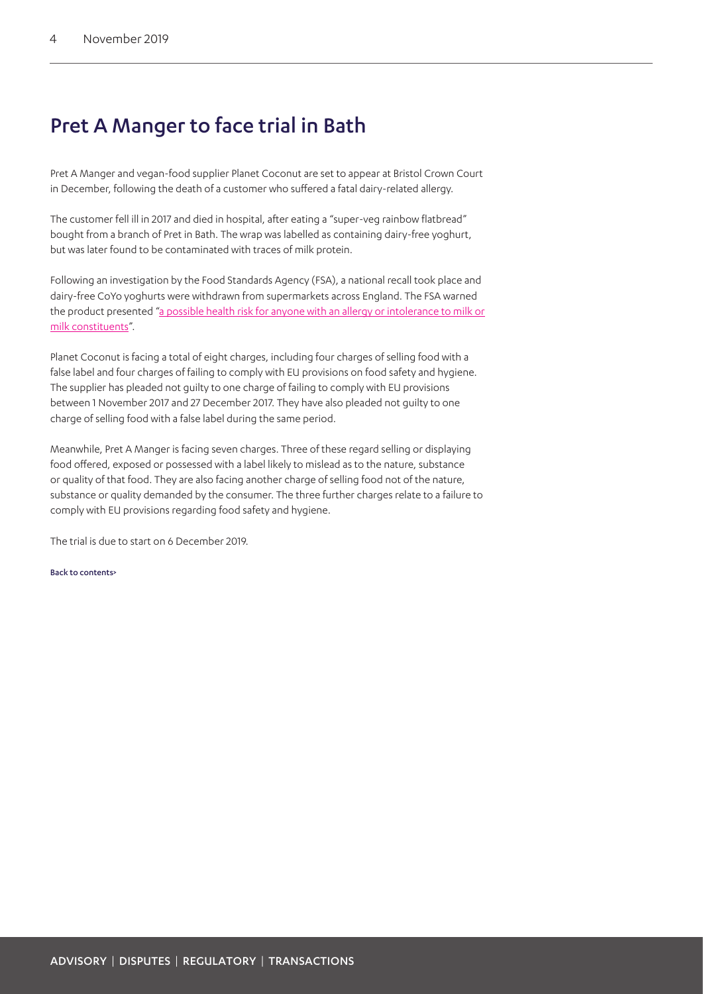### <span id="page-3-0"></span>Pret A Manger to face trial in Bath

Pret A Manger and vegan-food supplier Planet Coconut are set to appear at Bristol Crown Court in December, following the death of a customer who suffered a fatal dairy-related allergy.

The customer fell ill in 2017 and died in hospital, after eating a "super-veg rainbow flatbread" bought from a branch of Pret in Bath. The wrap was labelled as containing dairy-free yoghurt, but was later found to be contaminated with traces of milk protein.

Following an investigation by the Food Standards Agency (FSA), a national recall took place and dairy-free CoYo yoghurts were withdrawn from supermarkets across England. The FSA warned the product presented "a possible health risk for anyone with an allergy or intolerance to milk or [milk constituents](https://www.telegraph.co.uk/news/2018/10/07/second-customer-dies-allergic-reaction-pret-manger-sandwich/)".

Planet Coconut is facing a total of eight charges, including four charges of selling food with a false label and four charges of failing to comply with EU provisions on food safety and hygiene. The supplier has pleaded not guilty to one charge of failing to comply with EU provisions between 1 November 2017 and 27 December 2017. They have also pleaded not guilty to one charge of selling food with a false label during the same period.

Meanwhile, Pret A Manger is facing seven charges. Three of these regard selling or displaying food offered, exposed or possessed with a label likely to mislead as to the nature, substance or quality of that food. They are also facing another charge of selling food not of the nature, substance or quality demanded by the consumer. The three further charges relate to a failure to comply with EU provisions regarding food safety and hygiene.

The trial is due to start on 6 December 2019.

[Back to contents>](#page-0-0)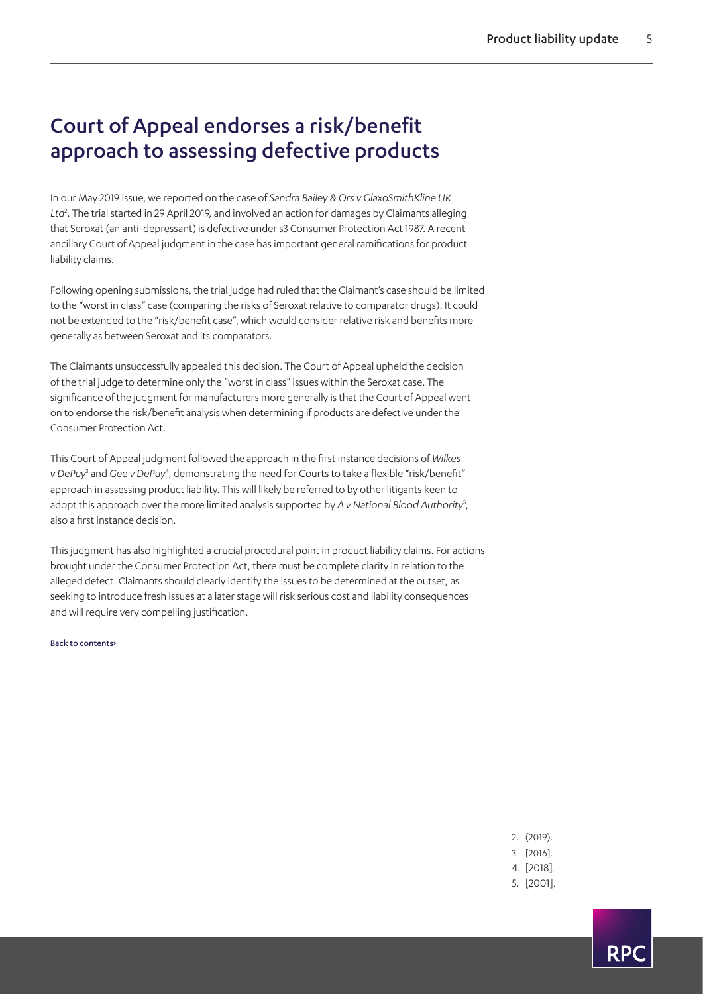## <span id="page-4-0"></span>Court of Appeal endorses a risk/benefit approach to assessing defective products

In our May 2019 issue, we reported on the case of *Sandra Bailey & Ors v GlaxoSmithKline UK Ltd*[2](#page-4-1) . The trial started in 29 April 2019, and involved an action for damages by Claimants alleging that Seroxat (an anti-depressant) is defective under s3 Consumer Protection Act 1987. A recent ancillary Court of Appeal judgment in the case has important general ramifications for product liability claims.

Following opening submissions, the trial judge had ruled that the Claimant's case should be limited to the "worst in class" case (comparing the risks of Seroxat relative to comparator drugs). It could not be extended to the "risk/benefit case", which would consider relative risk and benefits more generally as between Seroxat and its comparators.

The Claimants unsuccessfully appealed this decision. The Court of Appeal upheld the decision of the trial judge to determine only the "worst in class" issues within the Seroxat case. The significance of the judgment for manufacturers more generally is that the Court of Appeal went on to endorse the risk/benefit analysis when determining if products are defective under the Consumer Protection Act.

This Court of Appeal judgment followed the approach in the first instance decisions of *Wilkes*  v DePuy<sup>[3](#page-4-2)</sup> and Gee v DePuy<sup>[4](#page-4-3)</sup>, demonstrating the need for Courts to take a flexible "risk/benefit" approach in assessing product liability. This will likely be referred to by other litigants keen to adopt this approach over the more limited analysis supported by *A v National Blood Authority<sup>[5](#page-4-4)</sup>*, also a first instance decision.

This judgment has also highlighted a crucial procedural point in product liability claims. For actions brought under the Consumer Protection Act, there must be complete clarity in relation to the alleged defect. Claimants should clearly identify the issues to be determined at the outset, as seeking to introduce fresh issues at a later stage will risk serious cost and liability consequences and will require very compelling justification.

[Back to contents>](#page-0-0)

<span id="page-4-4"></span><span id="page-4-3"></span><span id="page-4-2"></span><span id="page-4-1"></span>2. (2019). 3. [2016]. 4. [2018]. 5. [2001].

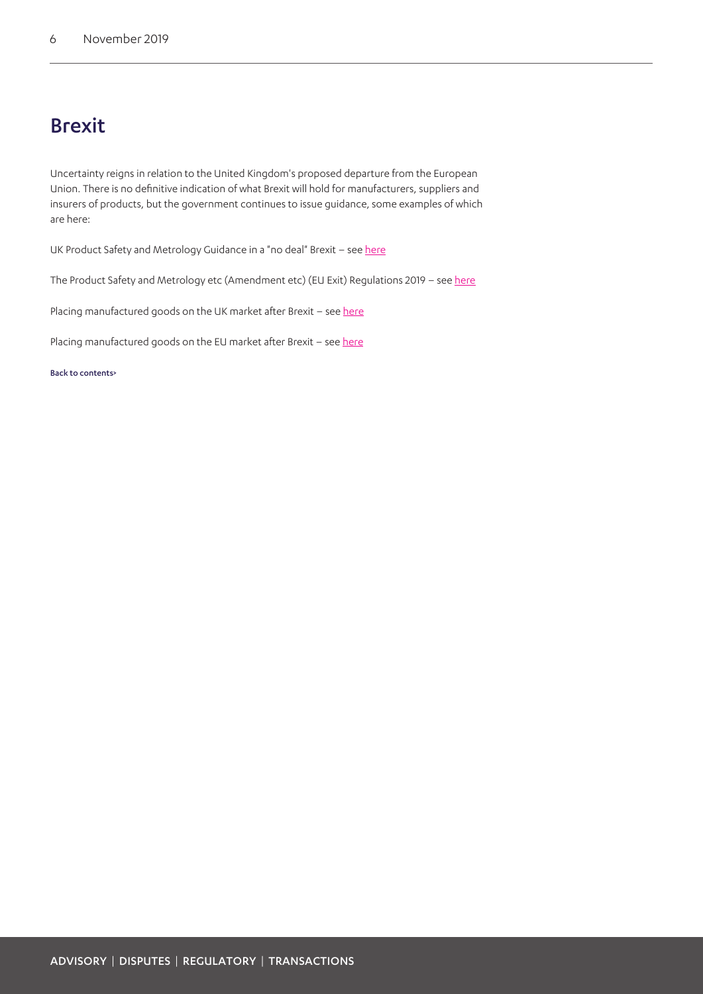### <span id="page-5-0"></span>Brexit

Uncertainty reigns in relation to the United Kingdom's proposed departure from the European Union. There is no definitive indication of what Brexit will hold for manufacturers, suppliers and insurers of products, but the government continues to issue guidance, some examples of which are here:

UK Product Safety and Metrology Guidance in a "no deal" Brexit - see [here](https://assets.publishing.service.gov.uk/government/uploads/system/uploads/attachment_data/file/835220/uk-product-safety-and-metrology-guidance-no-deal-scenario.pdf)

The Product Safety and Metrology etc (Amendment etc) (EU Exit) Regulations 2019 - see [here](http://www.legislation.gov.uk/ukdsi/2019/9780111176368)

Placing manufactured goods on the UK market after Brexit - see [here](https://www.gov.uk/guidance/placing-manufactured-goods-on-the-uk-market-if-theres-no-brexit-deal)

Placing manufactured goods on the EU market after Brexit - see [here](https://www.gov.uk/guidance/placing-manufactured-goods-on-the-eu-internal-market-if-theres-no-deal)

[Back to contents>](#page-0-0)